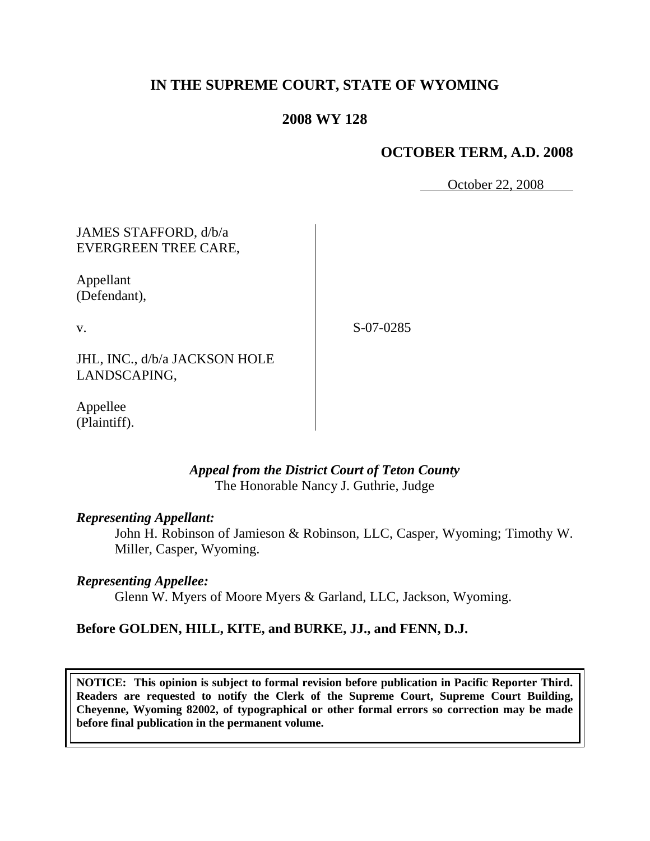# **IN THE SUPREME COURT, STATE OF WYOMING**

## **2008 WY 128**

### **OCTOBER TERM, A.D. 2008**

October 22, 2008

## JAMES STAFFORD, d/b/a EVERGREEN TREE CARE,

Appellant (Defendant),

v.

S-07-0285

JHL, INC., d/b/a JACKSON HOLE LANDSCAPING,

Appellee (Plaintiff).

#### *Appeal from the District Court of Teton County* The Honorable Nancy J. Guthrie, Judge

#### *Representing Appellant:*

John H. Robinson of Jamieson & Robinson, LLC, Casper, Wyoming; Timothy W. Miller, Casper, Wyoming.

#### *Representing Appellee:*

Glenn W. Myers of Moore Myers & Garland, LLC, Jackson, Wyoming.

#### **Before GOLDEN, HILL, KITE, and BURKE, JJ., and FENN, D.J.**

**NOTICE: This opinion is subject to formal revision before publication in Pacific Reporter Third. Readers are requested to notify the Clerk of the Supreme Court, Supreme Court Building, Cheyenne, Wyoming 82002, of typographical or other formal errors so correction may be made before final publication in the permanent volume.**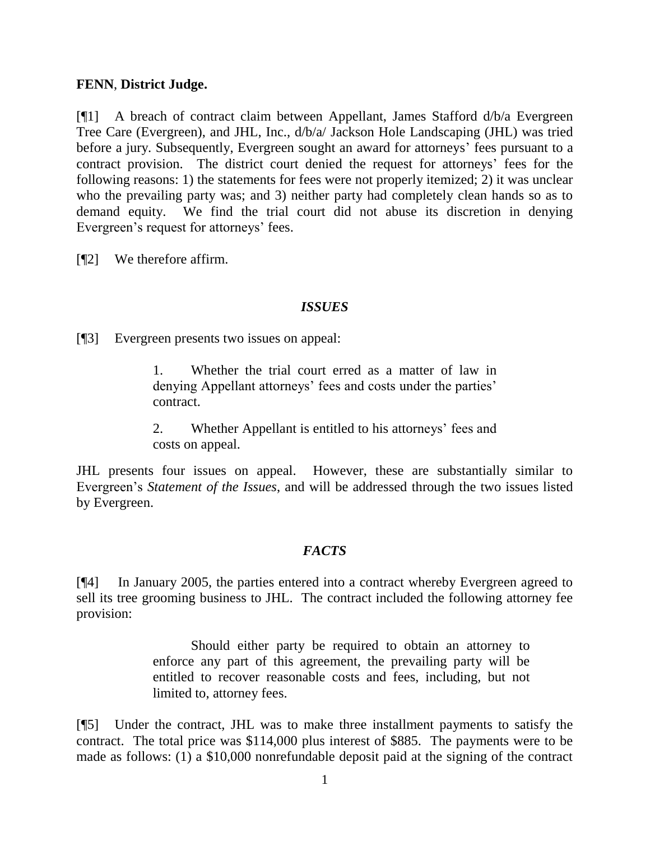## **FENN**, **District Judge.**

[¶1] A breach of contract claim between Appellant, James Stafford d/b/a Evergreen Tree Care (Evergreen), and JHL, Inc., d/b/a/ Jackson Hole Landscaping (JHL) was tried before a jury. Subsequently, Evergreen sought an award for attorneys' fees pursuant to a contract provision. The district court denied the request for attorneys' fees for the following reasons: 1) the statements for fees were not properly itemized; 2) it was unclear who the prevailing party was; and 3) neither party had completely clean hands so as to demand equity. We find the trial court did not abuse its discretion in denying Evergreen's request for attorneys' fees.

[¶2] We therefore affirm.

## *ISSUES*

[¶3] Evergreen presents two issues on appeal:

1. Whether the trial court erred as a matter of law in denying Appellant attorneys' fees and costs under the parties' contract.

2. Whether Appellant is entitled to his attorneys' fees and costs on appeal.

JHL presents four issues on appeal. However, these are substantially similar to Evergreen's *Statement of the Issues*, and will be addressed through the two issues listed by Evergreen.

## *FACTS*

[¶4] In January 2005, the parties entered into a contract whereby Evergreen agreed to sell its tree grooming business to JHL. The contract included the following attorney fee provision:

> Should either party be required to obtain an attorney to enforce any part of this agreement, the prevailing party will be entitled to recover reasonable costs and fees, including, but not limited to, attorney fees.

[¶5] Under the contract, JHL was to make three installment payments to satisfy the contract. The total price was \$114,000 plus interest of \$885. The payments were to be made as follows: (1) a \$10,000 nonrefundable deposit paid at the signing of the contract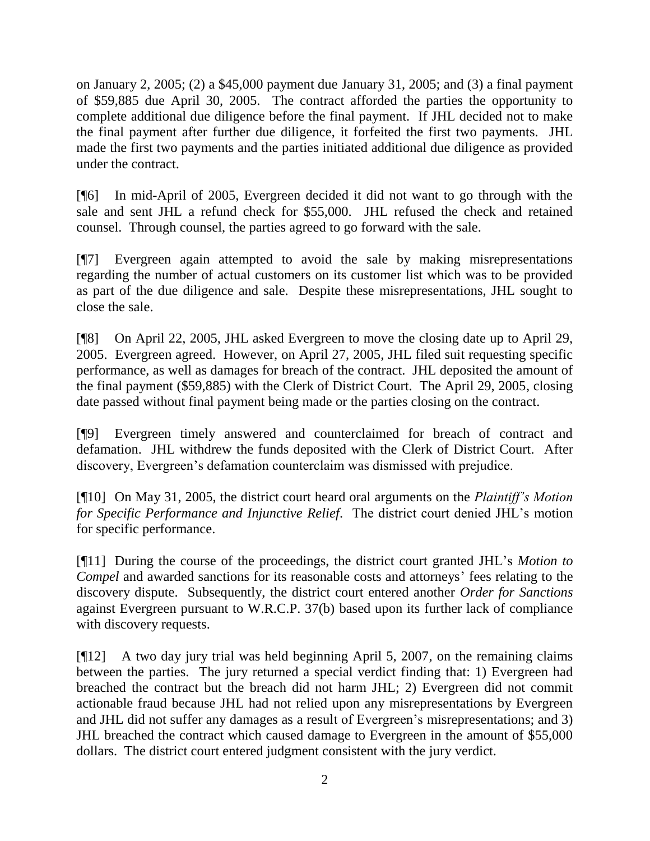on January 2, 2005; (2) a \$45,000 payment due January 31, 2005; and (3) a final payment of \$59,885 due April 30, 2005. The contract afforded the parties the opportunity to complete additional due diligence before the final payment. If JHL decided not to make the final payment after further due diligence, it forfeited the first two payments. JHL made the first two payments and the parties initiated additional due diligence as provided under the contract.

[¶6] In mid-April of 2005, Evergreen decided it did not want to go through with the sale and sent JHL a refund check for \$55,000. JHL refused the check and retained counsel. Through counsel, the parties agreed to go forward with the sale.

[¶7] Evergreen again attempted to avoid the sale by making misrepresentations regarding the number of actual customers on its customer list which was to be provided as part of the due diligence and sale. Despite these misrepresentations, JHL sought to close the sale.

[¶8] On April 22, 2005, JHL asked Evergreen to move the closing date up to April 29, 2005. Evergreen agreed. However, on April 27, 2005, JHL filed suit requesting specific performance, as well as damages for breach of the contract. JHL deposited the amount of the final payment (\$59,885) with the Clerk of District Court. The April 29, 2005, closing date passed without final payment being made or the parties closing on the contract.

[¶9] Evergreen timely answered and counterclaimed for breach of contract and defamation. JHL withdrew the funds deposited with the Clerk of District Court. After discovery, Evergreen's defamation counterclaim was dismissed with prejudice.

[¶10] On May 31, 2005, the district court heard oral arguments on the *Plaintiff's Motion for Specific Performance and Injunctive Relief*. The district court denied JHL's motion for specific performance.

[¶11] During the course of the proceedings, the district court granted JHL's *Motion to Compel* and awarded sanctions for its reasonable costs and attorneys' fees relating to the discovery dispute. Subsequently, the district court entered another *Order for Sanctions*  against Evergreen pursuant to W.R.C.P. 37(b) based upon its further lack of compliance with discovery requests.

[¶12] A two day jury trial was held beginning April 5, 2007, on the remaining claims between the parties. The jury returned a special verdict finding that: 1) Evergreen had breached the contract but the breach did not harm JHL; 2) Evergreen did not commit actionable fraud because JHL had not relied upon any misrepresentations by Evergreen and JHL did not suffer any damages as a result of Evergreen's misrepresentations; and 3) JHL breached the contract which caused damage to Evergreen in the amount of \$55,000 dollars. The district court entered judgment consistent with the jury verdict.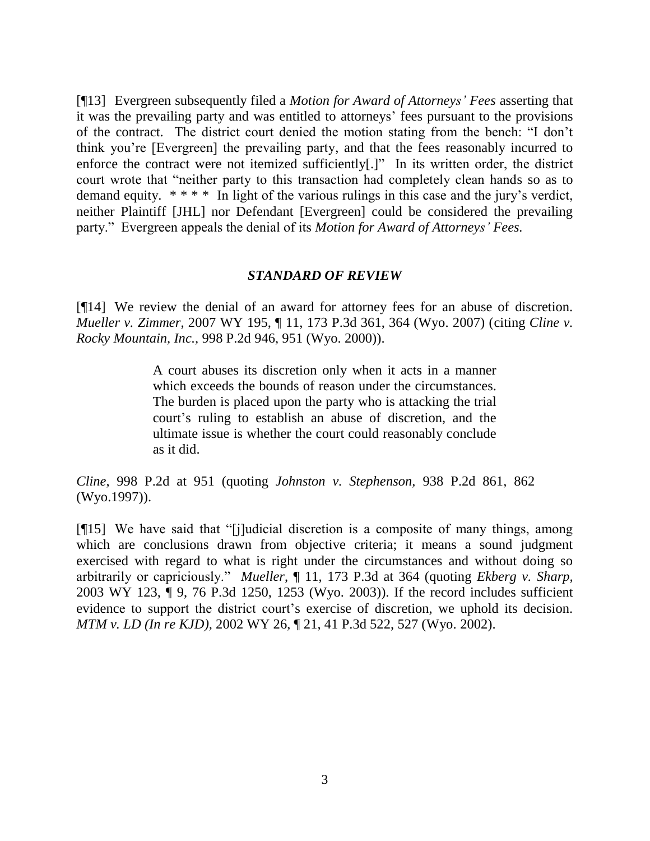[¶13] Evergreen subsequently filed a *Motion for Award of Attorneys' Fees* asserting that it was the prevailing party and was entitled to attorneys' fees pursuant to the provisions of the contract. The district court denied the motion stating from the bench: "I don't think you're [Evergreen] the prevailing party, and that the fees reasonably incurred to enforce the contract were not itemized sufficiently[.]" In its written order, the district court wrote that "neither party to this transaction had completely clean hands so as to demand equity. \* \* \* \* In light of the various rulings in this case and the jury's verdict, neither Plaintiff [JHL] nor Defendant [Evergreen] could be considered the prevailing party." Evergreen appeals the denial of its *Motion for Award of Attorneys' Fees.*

#### *STANDARD OF REVIEW*

[¶14] We review the denial of an award for attorney fees for an abuse of discretion. *Mueller v. Zimmer*, 2007 WY 195, ¶ 11, 173 P.3d 361, 364 (Wyo. 2007) (citing *Cline v. Rocky Mountain, Inc.,* 998 P.2d 946, 951 (Wyo. 2000)).

> A court abuses its discretion only when it acts in a manner which exceeds the bounds of reason under the circumstances. The burden is placed upon the party who is attacking the trial court's ruling to establish an abuse of discretion, and the ultimate issue is whether the court could reasonably conclude as it did.

*Cline*, 998 P.2d at 951 (quoting *Johnston v. Stephenson,* 938 P.2d 861, 862 (Wyo.1997)).

[¶15] We have said that "[j]udicial discretion is a composite of many things, among which are conclusions drawn from objective criteria; it means a sound judgment exercised with regard to what is right under the circumstances and without doing so arbitrarily or capriciously." *Mueller*, ¶ 11, 173 P.3d at 364 (quoting *Ekberg v. Sharp,* 2003 WY 123, ¶ 9, 76 P.3d 1250, 1253 (Wyo. 2003)). If the record includes sufficient evidence to support the district court's exercise of discretion, we uphold its decision. *MTM v. LD (In re KJD),* [2002 WY 26, ¶ 21, 41 P.3d 522, 527 \(Wyo.](http://web2.westlaw.com/find/default.wl?tf=-1&rs=WLW8.07&referencepositiontype=S&serialnum=2002127640&fn=_top&sv=Split&referenceposition=527&findtype=Y&tc=-1&ordoc=2014321020&db=4645&vr=2.0&rp=%2ffind%2fdefault.wl&mt=Wyoming) 2002).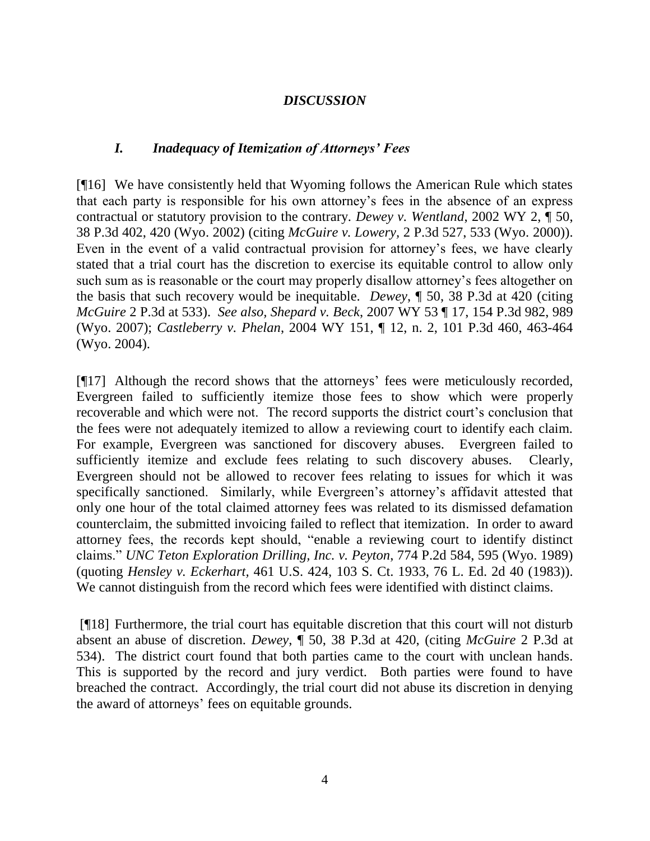## *DISCUSSION*

### *I. Inadequacy of Itemization of Attorneys' Fees*

[¶16] We have consistently held that Wyoming follows the American Rule which states that each party is responsible for his own attorney's fees in the absence of an express contractual or statutory provision to the contrary. *Dewey v. Wentland*, 2002 WY 2, ¶ 50, 38 P.3d 402, 420 (Wyo. 2002) (citing *McGuire v. Lowery,* 2 P.3d 527, 533 (Wyo. 2000)). Even in the event of a valid contractual provision for attorney's fees, we have clearly stated that a trial court has the discretion to exercise its equitable control to allow only such sum as is reasonable or the court may properly disallow attorney's fees altogether on the basis that such recovery would be inequitable. *Dewey*, ¶ 50, 38 P.3d at 420 (citing *McGuire* 2 P.3d at 533). *See also, Shepard v. Beck*, 2007 WY 53 ¶ 17, 154 P.3d 982, 989 (Wyo. 2007); *Castleberry v. Phelan*, 2004 WY 151, ¶ 12, n. 2, 101 P.3d 460, 463-464 (Wyo. 2004).

[¶17] Although the record shows that the attorneys' fees were meticulously recorded, Evergreen failed to sufficiently itemize those fees to show which were properly recoverable and which were not. The record supports the district court's conclusion that the fees were not adequately itemized to allow a reviewing court to identify each claim. For example, Evergreen was sanctioned for discovery abuses. Evergreen failed to sufficiently itemize and exclude fees relating to such discovery abuses. Clearly, Evergreen should not be allowed to recover fees relating to issues for which it was specifically sanctioned. Similarly, while Evergreen's attorney's affidavit attested that only one hour of the total claimed attorney fees was related to its dismissed defamation counterclaim, the submitted invoicing failed to reflect that itemization. In order to award attorney fees, the records kept should, "enable a reviewing court to identify distinct claims." *UNC Teton Exploration Drilling, Inc. v. Peyton*, 774 P.2d 584, 595 (Wyo. 1989) (quoting *Hensley v. Eckerhart,* 461 U.S. 424, 103 S. Ct. 1933, 76 L. Ed. 2d 40 (1983)). We cannot distinguish from the record which fees were identified with distinct claims.

[¶18] Furthermore, the trial court has equitable discretion that this court will not disturb absent an abuse of discretion. *Dewey*, ¶ 50, 38 P.3d at 420, (citing *McGuire* 2 P.3d at 534). The district court found that both parties came to the court with unclean hands. This is supported by the record and jury verdict. Both parties were found to have breached the contract. Accordingly, the trial court did not abuse its discretion in denying the award of attorneys' fees on equitable grounds.